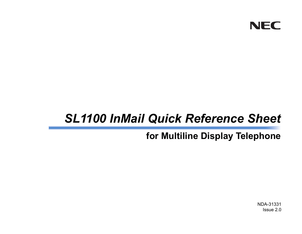

# *SL1100 InMail Quick Reference Sheet*

## **for Multiline Display Telephone**

NDA-31331Issue 2.0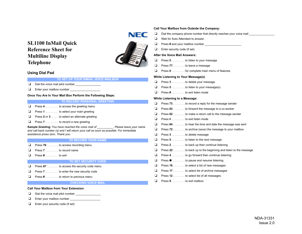### **SL1100 InMail Quick Reference Sheet for Multiline Display Telephone**



#### **Using Dial Pad**

#### **TO SET UP YOUR INMAIL VOICE MAILBOX**

- ❏ Dial the voice mail pilot number \_\_\_\_\_\_\_\_\_\_\_\_\_\_\_\_
- ❏ Enter your mailbox number \_\_\_\_\_\_\_\_\_\_\_\_\_\_\_\_\_\_\_

#### **Once You Are In Your Mail Box Perform the Following Steps:**

#### **TO RECORD PERSONAL GREETING**

- ❏ Press **4** . . . . . . . . to access the greeting menu
- ❏Press **1** . . . . . . . . to select your main greeting
- ❏ Press **2** or **3** . . . . . to select an alternate greeting
- ❏ Press **7** . . . . . . . . to record a new greeting

**Sample Greeting:** Y*ou have reached the voice mail of \_\_\_\_\_\_\_\_\_\_. Please leave your name and call back number (s) and I will return your call as soon as possible. For immediate assistance press zero. Thank you.*

#### **TO RECORD YOUR NAME**

- ❏Press **76** . . . . . . . to access recording menu
- ❏Press **7** . . . . . . . . to record name
- ❏Press **#** . . . . . . . . to exit

#### **TO SET SECURITY CODE**

- ❏ Press **67** . . . . . . . to access the security code menu
- ❏Press **7** . . . . . . . . to enter the new security code
- ❏ Press **#** . . . . . . . . to return to previous menu

#### **CHECKING VOICE MAIL**

#### **Call Your Mailbox from Your Extension:**

- ❏ Dial the voice mail pilot number \_\_\_\_\_\_\_\_\_\_\_\_\_\_\_\_
- ❏Enter your mailbox number
- ❏ Enter your security code (if set)

#### **Call Your Mailbox from Outside the Company:**

- ❏Dial the company phone number that directly reaches your voice mail
- $\Box$ Wait for Auto Attendant to answer.
- ❏Press # and your mailbox number
- $\Box$ Enter security code (if set)

#### **After the Voice Mail Answers:**

- ❏Press **5** . . . . . . . . .to listen to your message
- ❏Press **77** . . . . . . . .to leave a message
- ❏Press **0** . . . . . . . . .for complete main menu of features

#### **While Listening to Your Message(s)**

- ❏Press **3** . . . . . . . . .to delete your message
- ❏Press **5** . . . . . . . . .to listen to your message(s)
- ❏Press **#** . . . . . . . . .to exit listen mode

#### **While Listening to a Message:**

❏ Press **73** . . . . . . . .to record a reply for the message sender ❏ Press **63** . . . . . . . .to forward the message to a co-worker ❏ Press **62** . . . . . . . .to make a return call to the message sender  $\Box$ Press # . . . . . . . . . to exit listen mode ❏ Press **84** . . . . . . . .to hear the time and date the message was sent ❏ Press **72** . . . . . . . .to archive (save) the message to your mailbox ❏ Press **3** . . . . . . . . .to delete message  $\Box$  Press **5** . . . . . . . . .to listen to the next message ❏ Press **2** . . . . . . . . .to back up then continue listening ❏ Press **22** . . . . . . . .to back up to the beginning and listen to the message ❏ Press **4** . . . . . . . . .to go forward then continue listening ❏Press  $*$  .......to pause and resume listening  $\Box$  Press **16** . . . . . . . .to select a list of new messages ❏ Press **17** . . . . . . . .to select list of archive messages ❏ Press **12** . . . . . . . .to select list of all messages ❏Press **9** . . . . . . . . .to exit mailbox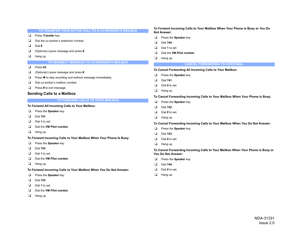|                                   | TO TRANSFER YOUR ACTIVE CALL TO A CO-WORKER'S MAILBOX              |   | To Forward Incoming Calls to Your Mailbox When Your Phone is Busy or You Do<br><b>Not Answer:</b>    |
|-----------------------------------|--------------------------------------------------------------------|---|------------------------------------------------------------------------------------------------------|
| ❏                                 | Press Transfer key.                                                | ❏ | Press the Speaker key.                                                                               |
| u                                 | Dial the co-worker's extension number.                             | ❏ | Dial 744.                                                                                            |
| ❏                                 | Dial 8.                                                            | □ | Dial 1 to set.                                                                                       |
| ❏                                 | (Optional) Leave message and press #.                              | □ | Dial the VM Pilot number.                                                                            |
| ⊔                                 | Hang up.                                                           | ❏ | Hang up.                                                                                             |
|                                   | TO REDIRECT MESSAGE TO CO-WORKER'S MAILBOX                         |   | <b>CANCEL FORWARDING TO VOICE MAIL</b>                                                               |
| ⊔                                 | Press 63.                                                          |   |                                                                                                      |
| ❏                                 | (Optional) Leave message and press #.                              |   | To Cancel Forwarding All Incoming Calls to Your Mailbox:                                             |
| ⊔                                 | Press * to skip recording and redirect message immediately.        | ❏ | Press the Speaker key.                                                                               |
| ⊔                                 | Dial co-worker's mailbox number.                                   | ❏ | Dial 741.                                                                                            |
| ⊔                                 | Press # to exit message.                                           | ◘ | Dial 0 to set.                                                                                       |
| <b>Sending Calls to a Mailbox</b> |                                                                    | ❏ | Hang up.                                                                                             |
|                                   | TO FORWARD CALLS TO YOUR MAILBOX                                   |   | To Cancel Forwarding Incoming Calls to Your Mailbox When Your Phone is Busy:                         |
|                                   |                                                                    | ❏ | Press the Speaker key.                                                                               |
|                                   |                                                                    |   |                                                                                                      |
|                                   | To Forward All Incoming Calls to Your Mailbox:                     | □ | Dial 742.                                                                                            |
| ⊔                                 | Press the Speaker key.                                             | ❏ | Dial 0 to set.                                                                                       |
| ❏                                 | Dial 741.                                                          | ❏ | Hang up.                                                                                             |
| u                                 | Dial 1 to set.                                                     |   | To Cancel Forwarding Incoming Calls to Your Mailbox When You Do Not Answer:                          |
| ❏                                 | Dial the VM Pilot number.                                          | ❏ | Press the Speaker key.                                                                               |
| ⊔                                 | Hang up.                                                           | ❏ | Dial 743.                                                                                            |
|                                   | To Forward Incoming Calls to Your Mailbox When Your Phone Is Busy: | □ | Dial 0 to set.                                                                                       |
| ❏                                 | Press the Speaker key.                                             | ❏ | Hang up.                                                                                             |
| ❏                                 | Dial 742.                                                          |   |                                                                                                      |
| ⊔                                 | Dial 1 to set.                                                     |   | To Cancel Forwarding Incoming Calls to Your Mailbox When Your Phone is Busy or<br>You Do Not Answer: |
| ❏                                 | Dial the VM Pilot number.                                          | ❏ | Press the Speaker key.                                                                               |
| ⊔                                 | Hang up.                                                           | □ | Dial 744.                                                                                            |
|                                   | To Forward Incoming Calls to Your Mailbox When You Do Not Answer:  |   | Dial 0 to set.                                                                                       |
| u                                 | Press the Speaker key.                                             | ❏ | Hang up.                                                                                             |

- ❏ Dial **743**.
- ❏ Dial **1** to set.
- ❏ Dial the **VM Pilot number**.
- ❏ Hang up.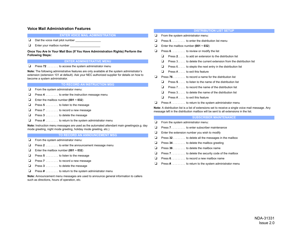#### **Voice Mail Administration Features**

**ENTER VOICE MAIL ADMINISTRATION**

- ❏Dial the voice mail pilot number \_\_\_\_\_\_\_\_\_\_\_\_\_\_\_\_\_
- ❏ Enter your mailbox number \_\_\_\_\_\_\_\_\_\_\_\_\_\_\_\_\_\_\_

**Once You Are In Your Mail Box (If You Have Administration Rights) Perform the Following Steps:**

#### **ENTER ADMINISTRATIVE MENU**

❏ Press **72** . . . . . . . to access the system administrator menu

**Note:** The following administrative features are only available at the system administrator's extension (extension 101 at default). Ask your NEC authorized supplier for details on how to become a system administrator.

#### **TO RECORD AN INSTRUCTION MSG**

- ❏ From the system administrator menu:
- ❏ Press **4** . . . . . . . . to enter the instruction message menu
- ❏ Enter the mailbox number **(001 ~ 032**)
- ❏ Press **5** . . . . . . . . to listen to the message
- ❏ Press **7** . . . . . . . . to record a new message
- ❏ Press **3** . . . . . . . . to delete the message
- ❏ Press **#** . . . . . . . . to return to the system administrator menu

**Note:** Instruction menu messages are used as the automated attendant main greetings(e.g. day mode greeting, night mode greeting, holiday mode greeting, etc.)

#### **TO RECORD AN ANNOUNCEMENT MSG**

- ❏ From the system administrator menu:
- ❏ Press **2** . . . . . . . . to enter the announcement message menu
- ❏ Enter the mailbox number **(001 ~ 032**)
- ❏ Press **5** . . . . . . . . to listen to the message
- ❏ Press **7** . . . . . . . . to record a new message
- ❏ Press **3** . . . . . . . . to delete the message
- ❏ Press **#** . . . . . . . . to return to the system administrator menu

**Note:** Announcement menu messages are used to announce general information to callers such as directions, hours of operation, etc.

#### **DISTRIBUTION LIST SETUP**

- ❏From the system administrator menu:
- ❏Press **5** . . . . . . . . . to enter the distribution list menu
- ❏Enter the mailbox number **(001 ~ 032**)
- ❏Press  $6 \ldots \ldots \ldots$  to review or modify the list
	- ❏ Press **2**. . . . . to add an extension to the distribution list
	- ❏Press 3. . . . . to delete the current extension from the distribution list
	- ❏Press 6. . . . . to stepto the next entry in the distribution list
	- ❏ Press #. . . . . to exit this feature
- ❏ Press **76** . . . . . . . . to record a name for the distribution list
	- ❏ Press **5**. . . . . to listen to the name of the distribution list
	- ❏ Press 7. . . . . to record the name of the distribution list
	- ❏Press 3. . . . . to delete the name of the distribution list
	- ❏ Press #. . . . . to exit this feature
- ❏Press # . . . . . . . . to return to the system administrator menu

**Note:** A distribution list is a list of extensions set to receive a single voice mail message. Any message left in the distribution mailbox will be sent to all extensions in the list.

#### **SUBSCRIBER MAINTENANCE**

- ❏From the system administrator menu:
- ❏Press **7** . . . . . . . . . to enter subscriber maintenance
- ❏Enter the extension number you wish to modify
- ❏Press **32** . . . . . . . . to delete all the messages in the mailbox
- ❏Press **34** . . . . . . . . to delete the mailbox greeting
- ❏Press **36** . . . . . . . . to delete the mailbox name
- ❏Press **7** . . . . . . . . . to delete the security code of the mailbox
- ❏Press **6** . . . . . . . . . to record a new mailbox name
- ❏Press **#** . . . . . . . . . to return to the system administrator menu